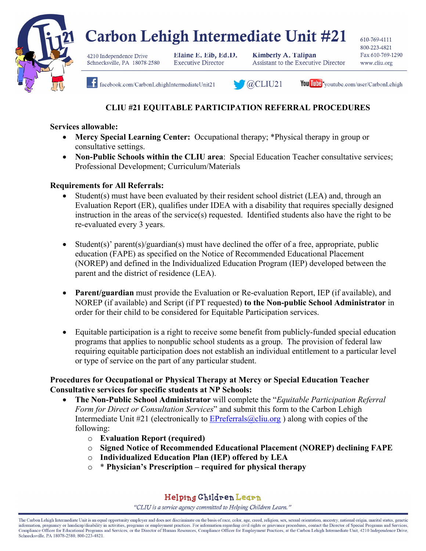

# Carbon Lehigh Intermediate Unit #21

4210 Independence Drive Schnecksville, PA 18078-2580 Elaine E. Eib, Ed.D. **Executive Director** 

**Kimberly A. Talipan Assistant to the Executive Director**  610-769-4111 800-223-4821 Fax 610-769-1290 www.cliu.org



facebook.com/CarbonLehighIntermediateUnit21



You Tube youtube.com/user/CarbonLehigh

## **CLIU #21 EQUITABLE PARTICIPATION REFERRAL PROCEDURES**

#### **Services allowable:**

- **Mercy Special Learning Center:** Occupational therapy; \*Physical therapy in group or consultative settings.
- **Non-Public Schools within the CLIU area**: Special Education Teacher consultative services; Professional Development; Curriculum/Materials

### **Requirements for All Referrals:**

- Student(s) must have been evaluated by their resident school district (LEA) and, through an Evaluation Report (ER), qualifies under IDEA with a disability that requires specially designed instruction in the areas of the service(s) requested. Identified students also have the right to be re-evaluated every 3 years.
- Student(s)' parent(s)/guardian(s) must have declined the offer of a free, appropriate, public education (FAPE) as specified on the Notice of Recommended Educational Placement (NOREP) and defined in the Individualized Education Program (IEP) developed between the parent and the district of residence (LEA).
- **Parent/guardian** must provide the Evaluation or Re-evaluation Report, IEP (if available), and NOREP (if available) and Script (if PT requested) **to the Non-public School Administrator** in order for their child to be considered for Equitable Participation services.
- Equitable participation is a right to receive some benefit from publicly-funded special education programs that applies to nonpublic school students as a group. The provision of federal law requiring equitable participation does not establish an individual entitlement to a particular level or type of service on the part of any particular student.

### **Procedures for Occupational or Physical Therapy at Mercy or Special Education Teacher Consultative services for specific students at NP Schools:**

- **The Non-Public School Administrator** will complete the "*Equitable Participation Referral Form for Direct or Consultation Services*" and submit this form to the Carbon Lehigh Intermediate Unit  $\#21$  (electronically to EP referrals  $@cliu.org$ ) along with copies of the following:
	- o **Evaluation Report (required)**
	- o **Signed Notice of Recommended Educational Placement (NOREP) declining FAPE**
	- o **Individualized Education Plan (IEP) offered by LEA**
	- o \* **Physician's Prescription required for physical therapy**

## Helping Children Learn

"CLIU is a service agency committed to Helping Children Learn."

The Carbon Lehigh Intermediate Unit is an equal opportunity employer and does not discriminate on the basis of race, color, age, creed, religion, sex, sexual orientation, ancestry, national origin, marital status, genetic information, pregnancy or handicap/disability in activities, programs or employment practices. For information regarding civil rights or grievance procedures, contact the Director of Special Programs and Services, Compliance Officer for Educational Programs and Services, or the Director of Human Resources, Compliance Officer for Employment Practices, at the Carbon Lehigh Intermediate Unit, 4210 Independence Drive, Schnecksville, PA 18078-2580, 800-223-4821.